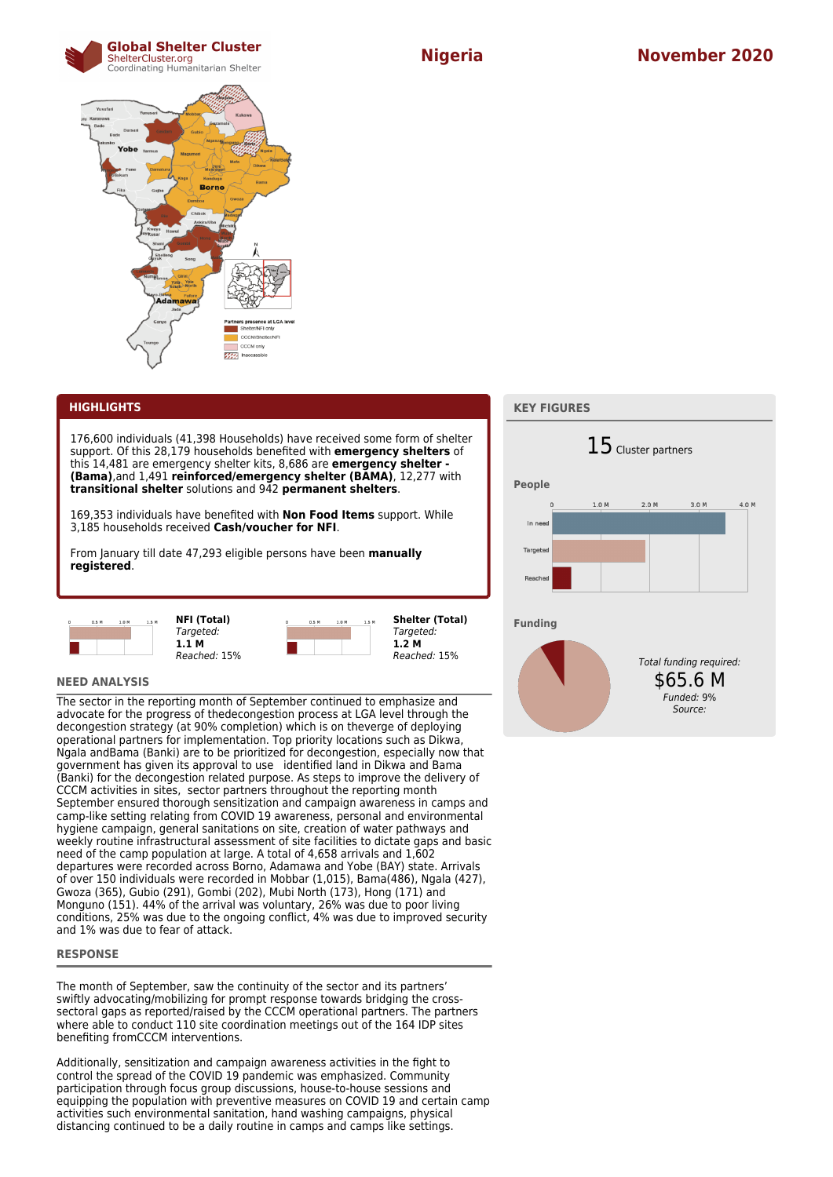



# **HIGHLIGHTS**

176,600 individuals (41,398 Households) have received some form of shelter support. Of this 28,179 households benefited with **emergency shelters** of this 14,481 are emergency shelter kits, 8,686 are **emergency shelter - (Bama)**,and 1,491 **reinforced/emergency shelter (BAMA)**, 12,277 with **transitional shelter** solutions and 942 **permanent shelters**.

169,353 individuals have benefited with **Non Food Items** support. While 3,185 households received **Cash/voucher for NFI**.

From January till date 47,293 eligible persons have been **manually registered**.



| <b>NFI (Total)</b> |  |
|--------------------|--|
| Targeted:          |  |
| 1.1 M              |  |
| Reached: 15%       |  |

**Shelter (Total)** Targeted: **1.2 M**

 $1.0<sub>h</sub>$ 

Reached: 15%

#### **NEED ANALYSIS**

The sector in the reporting month of September continued to emphasize and advocate for the progress of thedecongestion process at LGA level through the decongestion strategy (at 90% completion) which is on theverge of deploying operational partners for implementation. Top priority locations such as Dikwa, Ngala andBama (Banki) are to be prioritized for decongestion, especially now that government has given its approval to use identified land in Dikwa and Bama (Banki) for the decongestion related purpose. As steps to improve the delivery of CCCM activities in sites, sector partners throughout the reporting month September ensured thorough sensitization and campaign awareness in camps and camp-like setting relating from COVID 19 awareness, personal and environmental hygiene campaign, general sanitations on site, creation of water pathways and weekly routine infrastructural assessment of site facilities to dictate gaps and basic need of the camp population at large. A total of 4,658 arrivals and 1,602 departures were recorded across Borno, Adamawa and Yobe (BAY) state. Arrivals of over 150 individuals were recorded in Mobbar (1,015), Bama(486), Ngala (427), Gwoza (365), Gubio (291), Gombi (202), Mubi North (173), Hong (171) and Monguno (151). 44% of the arrival was voluntary, 26% was due to poor living conditions, 25% was due to the ongoing conflict, 4% was due to improved security and 1% was due to fear of attack.

### **RESPONSE**

The month of September, saw the continuity of the sector and its partners' swiftly advocating/mobilizing for prompt response towards bridging the crosssectoral gaps as reported/raised by the CCCM operational partners. The partners where able to conduct 110 site coordination meetings out of the 164 IDP sites benefiting fromCCCM interventions.

Additionally, sensitization and campaign awareness activities in the fight to control the spread of the COVID 19 pandemic was emphasized. Community participation through focus group discussions, house-to-house sessions and equipping the population with preventive measures on COVID 19 and certain camp activities such environmental sanitation, hand washing campaigns, physical distancing continued to be a daily routine in camps and camps like settings.

### **KEY FIGURES**